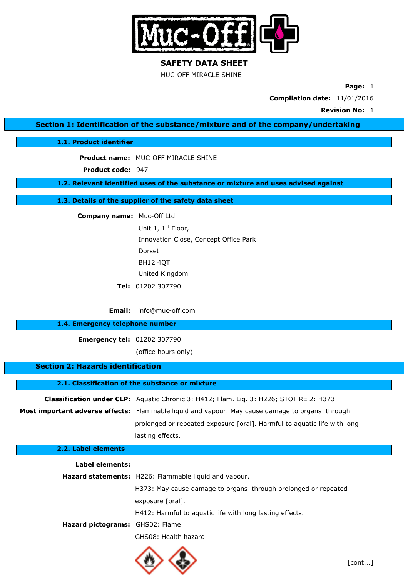

MUC-OFF MIRACLE SHINE

**Page:** 1

**Compilation date:** 11/01/2016

**Revision No:** 1

**Section 1: Identification of the substance/mixture and of the company/undertaking**

**1.1. Product identifier**

**Product name:** MUC-OFF MIRACLE SHINE

Product code: 947

**1.2. Relevant identified uses of the substance or mixture and uses advised against**

**1.3. Details of the supplier of the safety data sheet**

**Company name:** Muc-Off Ltd

Unit 1, 1st Floor, Innovation Close, Concept Office Park Dorset BH12 4QT United Kingdom **Tel:** 01202 307790

**Email:** info@muc-off.com

## **1.4. Emergency telephone number**

**Emergency tel:** 01202 307790

(office hours only)

## **Section 2: Hazards identification**

**2.1. Classification of the substance or mixture**

| <b>Classification under CLP:</b> Aquatic Chronic 3: H412; Flam. Lig. 3: H226; STOT RE 2: H373          |
|--------------------------------------------------------------------------------------------------------|
| <b>Most important adverse effects:</b> Flammable liquid and vapour. May cause damage to organs through |
| prolonged or repeated exposure [oral]. Harmful to aguatic life with long                               |
| lasting effects.                                                                                       |

| 2.2. Label elements             |                                                                |
|---------------------------------|----------------------------------------------------------------|
| Label elements:                 |                                                                |
|                                 | Hazard statements: H226: Flammable liquid and vapour.          |
|                                 | H373: May cause damage to organs through prolonged or repeated |
|                                 | exposure [oral].                                               |
|                                 | H412: Harmful to aquatic life with long lasting effects.       |
| Hazard pictograms: GHS02: Flame |                                                                |
|                                 | GHS08: Health hazard                                           |
|                                 |                                                                |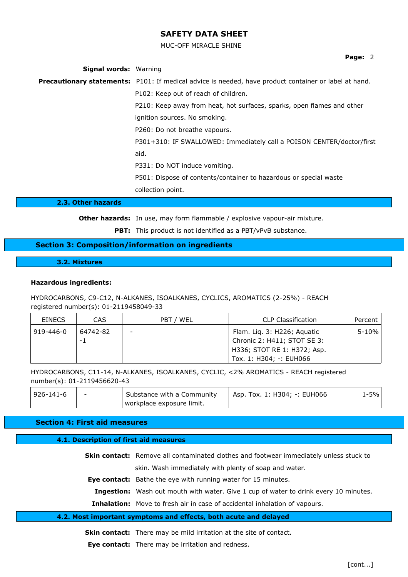MUC-OFF MIRACLE SHINE

**Page:** 2

| <b>Signal words: Warning</b> |                                                                                                              |
|------------------------------|--------------------------------------------------------------------------------------------------------------|
|                              | <b>Precautionary statements:</b> P101: If medical advice is needed, have product container or label at hand. |
|                              | P102: Keep out of reach of children.                                                                         |
|                              | P210: Keep away from heat, hot surfaces, sparks, open flames and other                                       |
|                              | ignition sources. No smoking.                                                                                |
|                              | P260: Do not breathe vapours.                                                                                |
|                              | P301+310: IF SWALLOWED: Immediately call a POISON CENTER/doctor/first                                        |
|                              | aid.                                                                                                         |
|                              | P331: Do NOT induce vomiting.                                                                                |
|                              | P501: Dispose of contents/container to hazardous or special waste                                            |
|                              | collection point.                                                                                            |
| 2.3. Other hazards           |                                                                                                              |

**Other hazards:** In use, may form flammable / explosive vapour-air mixture.

**PBT:** This product is not identified as a PBT/vPvB substance.

## **Section 3: Composition/information on ingredients**

**3.2. Mixtures**

## **Hazardous ingredients:**

HYDROCARBONS, C9-C12, N-ALKANES, ISOALKANES, CYCLICS, AROMATICS (2-25%) - REACH registered number(s): 01-2119458049-33

| <b>FINECS</b> | CAS             | PBT / WEL | CLP Classification                                                                                                   | Percent |
|---------------|-----------------|-----------|----------------------------------------------------------------------------------------------------------------------|---------|
| 919-446-0     | 64742-82<br>- 1 |           | Flam. Lig. 3: H226; Aguatic<br>Chronic 2: H411; STOT SE 3:<br>H336; STOT RE 1: H372; Asp.<br>Tox. 1: H304; -: EUH066 | 5-10%   |

HYDROCARBONS, C11-14, N-ALKANES, ISOALKANES, CYCLIC, <2% AROMATICS - REACH registered number(s): 01-2119456620-43

| <sup>926-141-6! ا</sup> | Substance with a Community | Asp. Tox. 1: H304; -: EUH066 | l-5% |
|-------------------------|----------------------------|------------------------------|------|
|                         | workplace exposure limit.  |                              |      |

### **Section 4: First aid measures**

## **4.1. Description of first aid measures**

| <b>Skin contact:</b> Remove all contaminated clothes and footwear immediately unless stuck to |
|-----------------------------------------------------------------------------------------------|
| skin. Wash immediately with plenty of soap and water.                                         |
| Eye contact: Bathe the eye with running water for 15 minutes.                                 |
| Ingestion: Wash out mouth with water. Give 1 cup of water to drink every 10 minutes.          |
| <b>Inhalation:</b> Move to fresh air in case of accidental inhalation of vapours.             |
|                                                                                               |

## **4.2. Most important symptoms and effects, both acute and delayed**

**Skin contact:** There may be mild irritation at the site of contact.

**Eye contact:** There may be irritation and redness.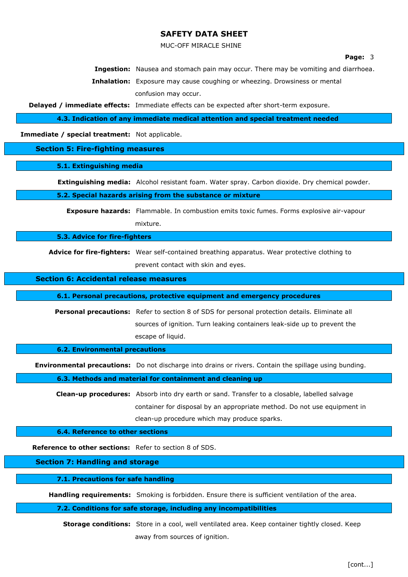MUC-OFF MIRACLE SHINE

#### **Page:** 3

**Ingestion:** Nausea and stomach pain may occur. There may be vomiting and diarrhoea.

**Inhalation:** Exposure may cause coughing or wheezing. Drowsiness or mental confusion may occur.

**Delayed / immediate effects:** Immediate effects can be expected after short-term exposure.

**4.3. Indication of any immediate medical attention and special treatment needed**

**Immediate / special treatment:** Not applicable.

**Section 5: Fire-fighting measures**

**5.1. Extinguishing media**

**Extinguishing media:** Alcohol resistant foam. Water spray. Carbon dioxide. Dry chemical powder.

#### **5.2. Special hazards arising from the substance or mixture**

**Exposure hazards:** Flammable. In combustion emits toxic fumes. Forms explosive air-vapour mixture.

**5.3. Advice for fire-fighters**

**Advice for fire-fighters:** Wear self-contained breathing apparatus. Wear protective clothing to prevent contact with skin and eyes.

#### **Section 6: Accidental release measures**

**6.1. Personal precautions, protective equipment and emergency procedures**

**Personal precautions:** Refer to section 8 of SDS for personal protection details. Eliminate all sources of ignition. Turn leaking containers leak-side up to prevent the escape of liquid.

**6.2. Environmental precautions**

**Environmental precautions:** Do not discharge into drains or rivers. Contain the spillage using bunding.

**6.3. Methods and material for containment and cleaning up**

**Clean-up procedures:** Absorb into dry earth or sand. Transfer to a closable, labelled salvage container for disposal by an appropriate method. Do not use equipment in clean-up procedure which may produce sparks.

**6.4. Reference to other sections**

**Reference to other sections:** Refer to section 8 of SDS.

**Section 7: Handling and storage**

**7.1. Precautions for safe handling**

**Handling requirements:** Smoking is forbidden. Ensure there is sufficient ventilation of the area.

**7.2. Conditions for safe storage, including any incompatibilities**

**Storage conditions:** Store in a cool, well ventilated area. Keep container tightly closed. Keep away from sources of ignition.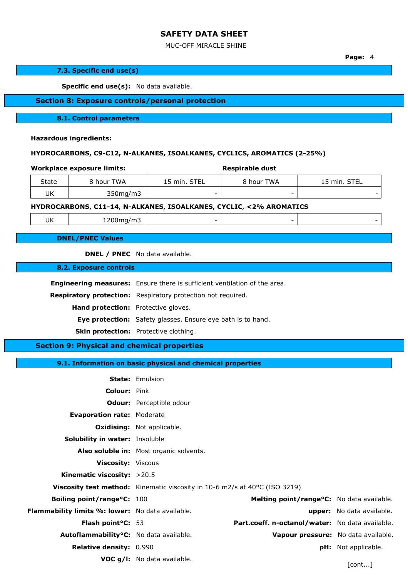## MUC-OFF MIRACLE SHINE

**Page:** 4

|       | 7.3. Specific end use(s)                           |                                         |                                                                                  |                                                                            |                                     |  |
|-------|----------------------------------------------------|-----------------------------------------|----------------------------------------------------------------------------------|----------------------------------------------------------------------------|-------------------------------------|--|
|       | Specific end use(s): No data available.            |                                         |                                                                                  |                                                                            |                                     |  |
|       |                                                    |                                         | <b>Section 8: Exposure controls/personal protection</b>                          |                                                                            |                                     |  |
|       |                                                    |                                         |                                                                                  |                                                                            |                                     |  |
|       | 8.1. Control parameters                            |                                         |                                                                                  |                                                                            |                                     |  |
|       | <b>Hazardous ingredients:</b>                      |                                         |                                                                                  |                                                                            |                                     |  |
|       |                                                    |                                         |                                                                                  | HYDROCARBONS, C9-C12, N-ALKANES, ISOALKANES, CYCLICS, AROMATICS (2-25%)    |                                     |  |
|       |                                                    |                                         |                                                                                  |                                                                            |                                     |  |
|       | <b>Workplace exposure limits:</b>                  |                                         |                                                                                  | <b>Respirable dust</b>                                                     |                                     |  |
| State | 8 hour TWA                                         |                                         | 15 min. STEL                                                                     | 8 hour TWA                                                                 | 15 min. STEL                        |  |
| UK    | 350mg/m3                                           |                                         |                                                                                  |                                                                            |                                     |  |
|       |                                                    |                                         |                                                                                  | HYDROCARBONS, C11-14, N-ALKANES, ISOALKANES, CYCLIC, <2% AROMATICS         |                                     |  |
| UK    | 1200mg/m3                                          |                                         |                                                                                  |                                                                            |                                     |  |
|       | <b>DNEL/PNEC Values</b>                            |                                         |                                                                                  |                                                                            |                                     |  |
|       | <b>DNEL / PNEC</b> No data available.              |                                         |                                                                                  |                                                                            |                                     |  |
|       | <b>8.2. Exposure controls</b>                      |                                         |                                                                                  |                                                                            |                                     |  |
|       |                                                    |                                         |                                                                                  |                                                                            |                                     |  |
|       |                                                    |                                         | <b>Engineering measures:</b> Ensure there is sufficient ventilation of the area. |                                                                            |                                     |  |
|       |                                                    |                                         | Respiratory protection: Respiratory protection not required.                     |                                                                            |                                     |  |
|       | Hand protection: Protective gloves.                |                                         |                                                                                  |                                                                            |                                     |  |
|       |                                                    |                                         | Eye protection: Safety glasses. Ensure eye bath is to hand.                      |                                                                            |                                     |  |
|       | Skin protection: Protective clothing.              |                                         |                                                                                  |                                                                            |                                     |  |
|       | <b>Section 9: Physical and chemical properties</b> |                                         |                                                                                  |                                                                            |                                     |  |
|       |                                                    |                                         | 9.1. Information on basic physical and chemical properties                       |                                                                            |                                     |  |
|       | <b>State: Emulsion</b>                             |                                         |                                                                                  |                                                                            |                                     |  |
|       | Colour: Pink                                       |                                         |                                                                                  |                                                                            |                                     |  |
|       |                                                    |                                         | <b>Odour:</b> Perceptible odour                                                  |                                                                            |                                     |  |
|       | <b>Evaporation rate: Moderate</b>                  |                                         |                                                                                  |                                                                            |                                     |  |
|       | <b>Oxidising:</b> Not applicable.                  |                                         |                                                                                  |                                                                            |                                     |  |
|       | Solubility in water: Insoluble                     |                                         |                                                                                  |                                                                            |                                     |  |
|       |                                                    | Also soluble in: Most organic solvents. |                                                                                  |                                                                            |                                     |  |
|       | <b>Viscosity: Viscous</b>                          |                                         |                                                                                  |                                                                            |                                     |  |
|       | Kinematic viscosity: >20.5                         |                                         |                                                                                  |                                                                            |                                     |  |
|       |                                                    |                                         |                                                                                  | Viscosity test method: Kinematic viscosity in 10-6 m2/s at 40°C (ISO 3219) |                                     |  |
|       | Boiling point/range°C: 100                         |                                         |                                                                                  | Melting point/range°C: No data available.                                  |                                     |  |
|       | Flammability limits %: lower: No data available.   |                                         |                                                                                  |                                                                            | upper: No data available.           |  |
|       | Flash point°C: 53                                  |                                         |                                                                                  | Part.coeff. n-octanol/water: No data available.                            |                                     |  |
|       | Autoflammability°C: No data available.             |                                         |                                                                                  |                                                                            | Vapour pressure: No data available. |  |

**Relative density:** 0.990 **pH:** Not applicable.

**VOC g/l:** No data available.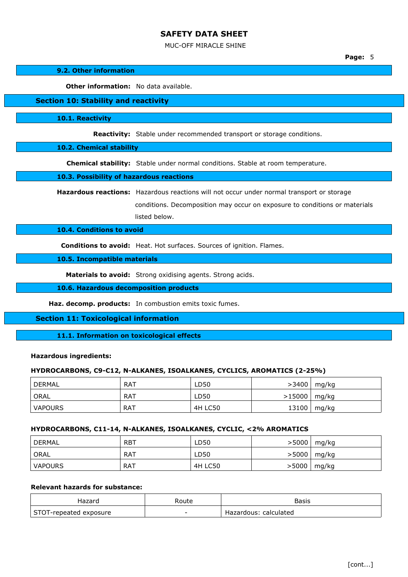#### MUC-OFF MIRACLE SHINE

**Page:** 5

#### **9.2. Other information**

**Other information:** No data available.

## **Section 10: Stability and reactivity**

**10.1. Reactivity**

**Reactivity:** Stable under recommended transport or storage conditions.

## **10.2. Chemical stability**

**Chemical stability:** Stable under normal conditions. Stable at room temperature.

#### **10.3. Possibility of hazardous reactions**

**Hazardous reactions:** Hazardous reactions will not occur under normal transport or storage

conditions. Decomposition may occur on exposure to conditions or materials listed below.

### **10.4. Conditions to avoid**

**Conditions to avoid:** Heat. Hot surfaces. Sources of ignition. Flames.

**10.5. Incompatible materials**

**Materials to avoid:** Strong oxidising agents. Strong acids.

**10.6. Hazardous decomposition products**

**Haz. decomp. products:** In combustion emits toxic fumes.

### **Section 11: Toxicological information**

**11.1. Information on toxicological effects**

## **Hazardous ingredients:**

### **HYDROCARBONS, C9-C12, N-ALKANES, ISOALKANES, CYCLICS, AROMATICS (2-25%)**

| DERMAL <sup>®</sup> | RAT        | LD50    | >3400  | mg/kg |
|---------------------|------------|---------|--------|-------|
| <sup>I</sup> ORAL   | <b>RAT</b> | LD50    | >15000 | mg/kg |
| VAPOURS             | RAT        | 4H LC50 | 13100  | mg/kg |

### **HYDROCARBONS, C11-14, N-ALKANES, ISOALKANES, CYCLIC, <2% AROMATICS**

| DERMAL  | <b>RBT</b> | LD50    | >5000        | mg/kg |
|---------|------------|---------|--------------|-------|
| ORAL    | RAT        | LD50    | >5000        | mg/kg |
| VAPOURS | RAT        | 4H LC50 | $>$ 5000 $ $ | mg/kg |

## **Relevant hazards for substance:**

| Hazaro                 | Route | Basis                 |
|------------------------|-------|-----------------------|
| STOT-repeated exposure | -     | Hazardous: calculated |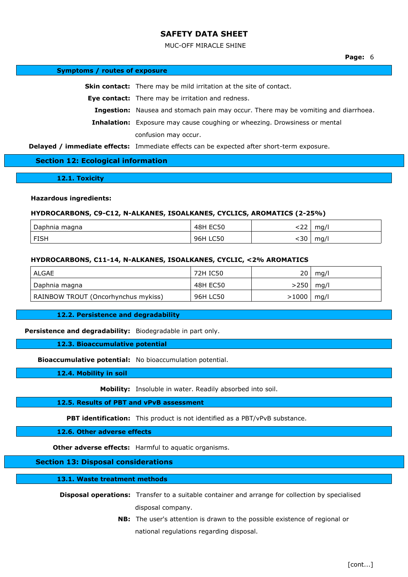#### MUC-OFF MIRACLE SHINE

#### **Symptoms / routes of exposure**

**Skin contact:** There may be mild irritation at the site of contact.

**Eye contact:** There may be irritation and redness.

**Ingestion:** Nausea and stomach pain may occur. There may be vomiting and diarrhoea.

**Inhalation:** Exposure may cause coughing or wheezing. Drowsiness or mental confusion may occur.

**Delayed / immediate effects:** Immediate effects can be expected after short-term exposure.

### **Section 12: Ecological information**

**12.1. Toxicity**

### **Hazardous ingredients:**

#### **HYDROCARBONS, C9-C12, N-ALKANES, ISOALKANES, CYCLICS, AROMATICS (2-25%)**

| Daphnia<br>magna | <b>FOR0</b><br>. 48H<br>-<br>н.<br>- - - - - - | $\sim$<br>. | mg/ |
|------------------|------------------------------------------------|-------------|-----|
| <b>FISH</b>      | LC50<br>96H                                    | :30         | mq/ |

### **HYDROCARBONS, C11-14, N-ALKANES, ISOALKANES, CYCLIC, <2% AROMATICS**

| ALGAE                               | 72H IC50 | ا 20           | mq/l |
|-------------------------------------|----------|----------------|------|
| Daphnia magna                       | 48H EC50 | >250∣          | mq/l |
| RAINBOW TROUT (Oncorhynchus mykiss) | 96H LC50 | $>1000$   mg/l |      |

#### **12.2. Persistence and degradability**

**Persistence and degradability:** Biodegradable in part only.

#### **12.3. Bioaccumulative potential**

**Bioaccumulative potential:** No bioaccumulation potential.

**12.4. Mobility in soil**

**Mobility:** Insoluble in water. Readily absorbed into soil.

#### **12.5. Results of PBT and vPvB assessment**

**PBT identification:** This product is not identified as a PBT/vPvB substance.

## **12.6. Other adverse effects**

**Other adverse effects:** Harmful to aquatic organisms.

### **Section 13: Disposal considerations**

#### **13.1. Waste treatment methods**

- **Disposal operations:** Transfer to a suitable container and arrange for collection by specialised disposal company.
	- **NB:** The user's attention is drawn to the possible existence of regional or national regulations regarding disposal.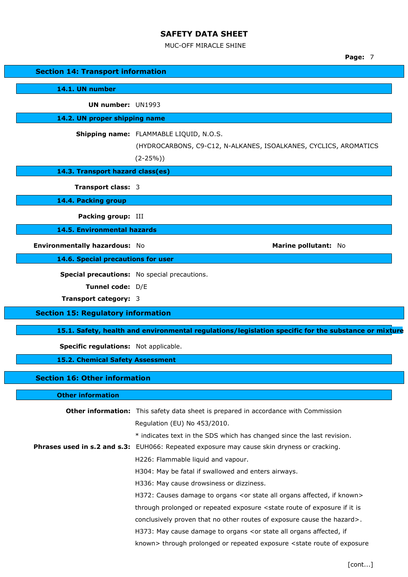MUC-OFF MIRACLE SHINE

|                                           | Page: 7                                                                                              |
|-------------------------------------------|------------------------------------------------------------------------------------------------------|
| <b>Section 14: Transport information</b>  |                                                                                                      |
| 14.1. UN number                           |                                                                                                      |
| <b>UN number: UN1993</b>                  |                                                                                                      |
| 14.2. UN proper shipping name             |                                                                                                      |
|                                           |                                                                                                      |
|                                           | Shipping name: FLAMMABLE LIQUID, N.O.S.                                                              |
|                                           | (HYDROCARBONS, C9-C12, N-ALKANES, ISOALKANES, CYCLICS, AROMATICS<br>$(2-25%)$                        |
| 14.3. Transport hazard class(es)          |                                                                                                      |
|                                           |                                                                                                      |
| <b>Transport class: 3</b>                 |                                                                                                      |
| 14.4. Packing group                       |                                                                                                      |
| Packing group: III                        |                                                                                                      |
| <b>14.5. Environmental hazards</b>        |                                                                                                      |
| Environmentally hazardous: No             | Marine pollutant: No                                                                                 |
| 14.6. Special precautions for user        |                                                                                                      |
|                                           | Special precautions: No special precautions.                                                         |
| Tunnel code: D/E                          |                                                                                                      |
| <b>Transport category: 3</b>              |                                                                                                      |
| <b>Section 15: Regulatory information</b> |                                                                                                      |
|                                           | 15.1. Safety, health and environmental regulations/legislation specific for the substance or mixture |
| Specific regulations: Not applicable.     |                                                                                                      |
| <b>15.2. Chemical Safety Assessment</b>   |                                                                                                      |
| <b>Section 16: Other information</b>      |                                                                                                      |
|                                           |                                                                                                      |
| <b>Other information</b>                  |                                                                                                      |
|                                           | <b>Other information:</b> This safety data sheet is prepared in accordance with Commission           |
|                                           | Regulation (EU) No 453/2010.                                                                         |
|                                           | * indicates text in the SDS which has changed since the last revision.                               |
|                                           | Phrases used in s.2 and s.3: EUH066: Repeated exposure may cause skin dryness or cracking.           |
|                                           | H226: Flammable liquid and vapour.                                                                   |
|                                           | H304: May be fatal if swallowed and enters airways.                                                  |
|                                           | H336: May cause drowsiness or dizziness.                                                             |
|                                           | H372: Causes damage to organs <or affected,="" all="" if="" known="" organs="" state=""></or>        |
|                                           | through prolonged or repeated exposure < state route of exposure if it is                            |
|                                           | conclusively proven that no other routes of exposure cause the hazard>.                              |
|                                           | H373: May cause damage to organs <or affected,="" all="" if<="" organs="" state="" td=""></or>       |
|                                           | known> through prolonged or repeated exposure <state exposure<="" of="" route="" td=""></state>      |